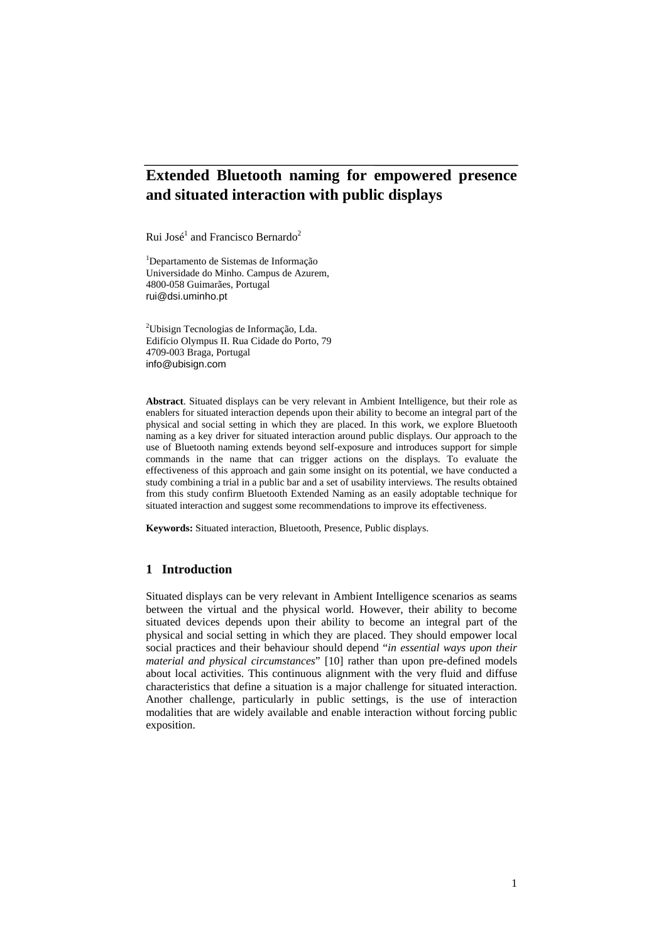# **Extended Bluetooth naming for empowered presence and situated interaction with public displays**

Rui José<sup>1</sup> and Francisco Bernardo<sup>2</sup>

1 Departamento de Sistemas de Informação Universidade do Minho. Campus de Azurem, 4800-058 Guimarães, Portugal rui@dsi.uminho.pt

<sup>2</sup>Ubisign Tecnologias de Informação, Lda. Edifício Olympus II. Rua Cidade do Porto, 79 4709-003 Braga, Portugal info@ubisign.com

**Abstract**. Situated displays can be very relevant in Ambient Intelligence, but their role as enablers for situated interaction depends upon their ability to become an integral part of the physical and social setting in which they are placed. In this work, we explore Bluetooth naming as a key driver for situated interaction around public displays. Our approach to the use of Bluetooth naming extends beyond self-exposure and introduces support for simple commands in the name that can trigger actions on the displays. To evaluate the effectiveness of this approach and gain some insight on its potential, we have conducted a study combining a trial in a public bar and a set of usability interviews. The results obtained from this study confirm Bluetooth Extended Naming as an easily adoptable technique for situated interaction and suggest some recommendations to improve its effectiveness.

**Keywords:** Situated interaction, Bluetooth, Presence, Public displays.

# **1 Introduction**

Situated displays can be very relevant in Ambient Intelligence scenarios as seams between the virtual and the physical world. However, their ability to become situated devices depends upon their ability to become an integral part of the physical and social setting in which they are placed. They should empower local social practices and their behaviour should depend "*in essential ways upon their material and physical circumstances*" [10] rather than upon pre-defined models about local activities. This continuous alignment with the very fluid and diffuse characteristics that define a situation is a major challenge for situated interaction. Another challenge, particularly in public settings, is the use of interaction modalities that are widely available and enable interaction without forcing public exposition.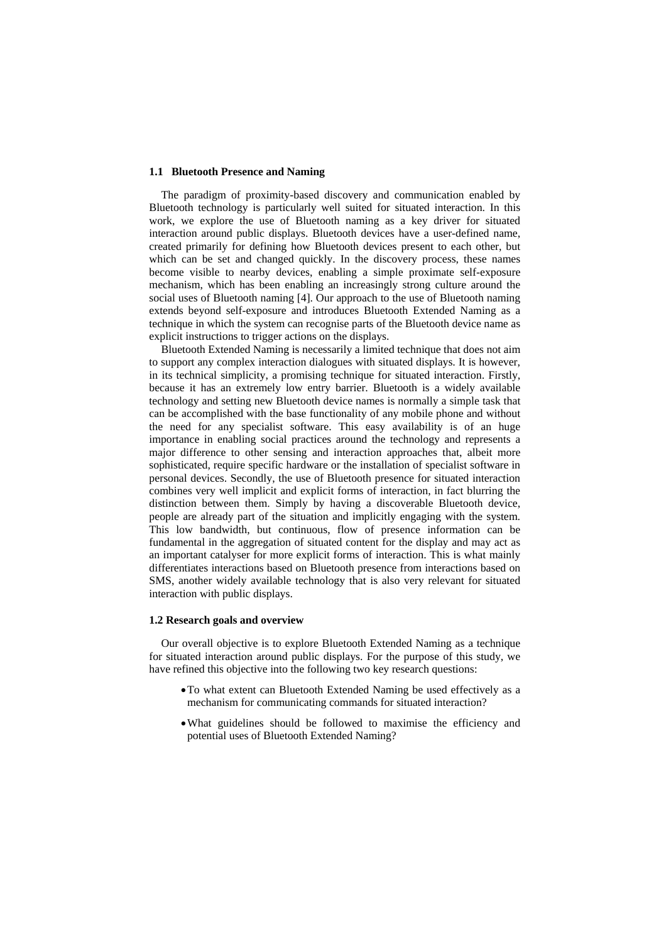#### **1.1 Bluetooth Presence and Naming**

The paradigm of proximity-based discovery and communication enabled by Bluetooth technology is particularly well suited for situated interaction. In this work, we explore the use of Bluetooth naming as a key driver for situated interaction around public displays. Bluetooth devices have a user-defined name, created primarily for defining how Bluetooth devices present to each other, but which can be set and changed quickly. In the discovery process, these names become visible to nearby devices, enabling a simple proximate self-exposure mechanism, which has been enabling an increasingly strong culture around the social uses of Bluetooth naming [4]. Our approach to the use of Bluetooth naming extends beyond self-exposure and introduces Bluetooth Extended Naming as a technique in which the system can recognise parts of the Bluetooth device name as explicit instructions to trigger actions on the displays.

Bluetooth Extended Naming is necessarily a limited technique that does not aim to support any complex interaction dialogues with situated displays. It is however, in its technical simplicity, a promising technique for situated interaction. Firstly, because it has an extremely low entry barrier. Bluetooth is a widely available technology and setting new Bluetooth device names is normally a simple task that can be accomplished with the base functionality of any mobile phone and without the need for any specialist software. This easy availability is of an huge importance in enabling social practices around the technology and represents a major difference to other sensing and interaction approaches that, albeit more sophisticated, require specific hardware or the installation of specialist software in personal devices. Secondly, the use of Bluetooth presence for situated interaction combines very well implicit and explicit forms of interaction, in fact blurring the distinction between them. Simply by having a discoverable Bluetooth device, people are already part of the situation and implicitly engaging with the system. This low bandwidth, but continuous, flow of presence information can be fundamental in the aggregation of situated content for the display and may act as an important catalyser for more explicit forms of interaction. This is what mainly differentiates interactions based on Bluetooth presence from interactions based on SMS, another widely available technology that is also very relevant for situated interaction with public displays.

#### **1.2 Research goals and overview**

Our overall objective is to explore Bluetooth Extended Naming as a technique for situated interaction around public displays. For the purpose of this study, we have refined this objective into the following two key research questions:

- •To what extent can Bluetooth Extended Naming be used effectively as a mechanism for communicating commands for situated interaction?
- •What guidelines should be followed to maximise the efficiency and potential uses of Bluetooth Extended Naming?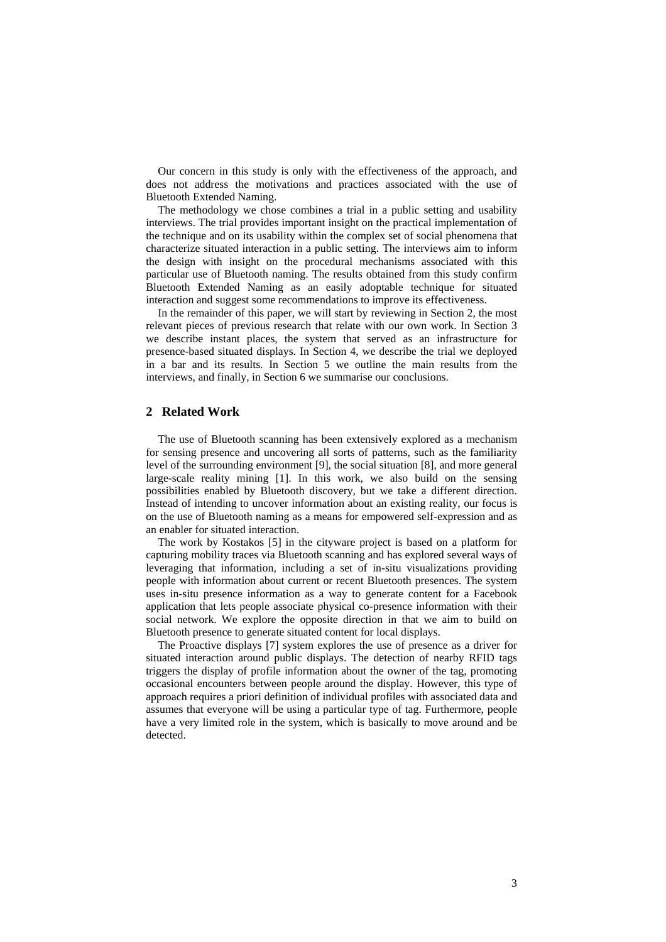Our concern in this study is only with the effectiveness of the approach, and does not address the motivations and practices associated with the use of Bluetooth Extended Naming.

The methodology we chose combines a trial in a public setting and usability interviews. The trial provides important insight on the practical implementation of the technique and on its usability within the complex set of social phenomena that characterize situated interaction in a public setting. The interviews aim to inform the design with insight on the procedural mechanisms associated with this particular use of Bluetooth naming. The results obtained from this study confirm Bluetooth Extended Naming as an easily adoptable technique for situated interaction and suggest some recommendations to improve its effectiveness.

In the remainder of this paper, we will start by reviewing in Section 2, the most relevant pieces of previous research that relate with our own work. In Section 3 we describe instant places, the system that served as an infrastructure for presence-based situated displays. In Section 4, we describe the trial we deployed in a bar and its results. In Section 5 we outline the main results from the interviews, and finally, in Section 6 we summarise our conclusions.

# **2 Related Work**

The use of Bluetooth scanning has been extensively explored as a mechanism for sensing presence and uncovering all sorts of patterns, such as the familiarity level of the surrounding environment [9], the social situation [8], and more general large-scale reality mining [1]. In this work, we also build on the sensing possibilities enabled by Bluetooth discovery, but we take a different direction. Instead of intending to uncover information about an existing reality, our focus is on the use of Bluetooth naming as a means for empowered self-expression and as an enabler for situated interaction.

The work by Kostakos [5] in the cityware project is based on a platform for capturing mobility traces via Bluetooth scanning and has explored several ways of leveraging that information, including a set of in-situ visualizations providing people with information about current or recent Bluetooth presences. The system uses in-situ presence information as a way to generate content for a Facebook application that lets people associate physical co-presence information with their social network. We explore the opposite direction in that we aim to build on Bluetooth presence to generate situated content for local displays.

The Proactive displays [7] system explores the use of presence as a driver for situated interaction around public displays. The detection of nearby RFID tags triggers the display of profile information about the owner of the tag, promoting occasional encounters between people around the display. However, this type of approach requires a priori definition of individual profiles with associated data and assumes that everyone will be using a particular type of tag. Furthermore, people have a very limited role in the system, which is basically to move around and be detected.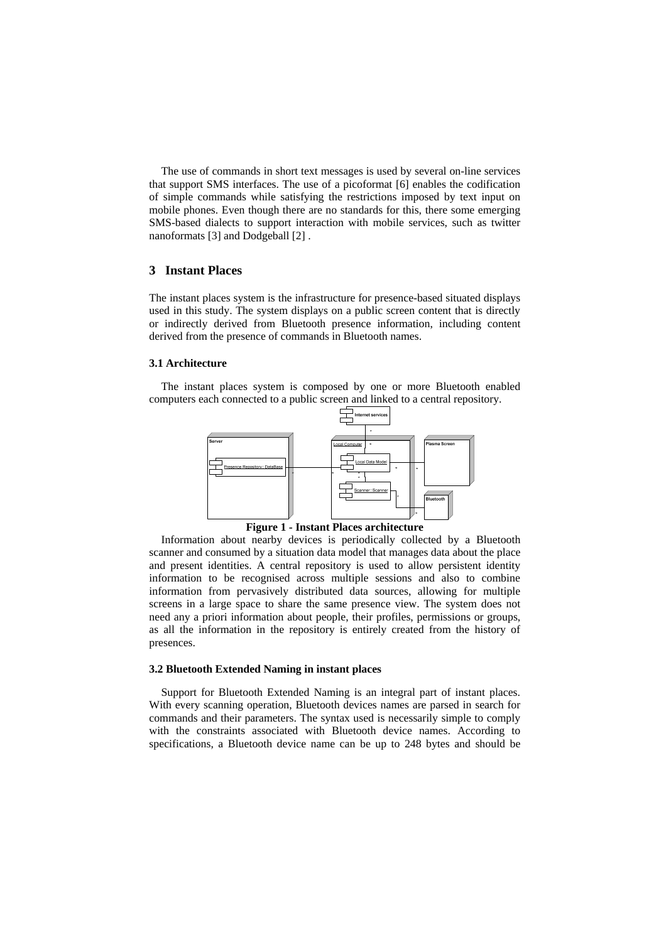The use of commands in short text messages is used by several on-line services that support SMS interfaces. The use of a picoformat [6] enables the codification of simple commands while satisfying the restrictions imposed by text input on mobile phones. Even though there are no standards for this, there some emerging SMS-based dialects to support interaction with mobile services, such as twitter nanoformats [3] and Dodgeball [2] .

# **3 Instant Places**

The instant places system is the infrastructure for presence-based situated displays used in this study. The system displays on a public screen content that is directly or indirectly derived from Bluetooth presence information, including content derived from the presence of commands in Bluetooth names.

# **3.1 Architecture**

The instant places system is composed by one or more Bluetooth enabled computers each connected to a public screen and linked to a central repository.





Information about nearby devices is periodically collected by a Bluetooth scanner and consumed by a situation data model that manages data about the place and present identities. A central repository is used to allow persistent identity information to be recognised across multiple sessions and also to combine information from pervasively distributed data sources, allowing for multiple screens in a large space to share the same presence view. The system does not need any a priori information about people, their profiles, permissions or groups, as all the information in the repository is entirely created from the history of presences.

# **3.2 Bluetooth Extended Naming in instant places**

Support for Bluetooth Extended Naming is an integral part of instant places. With every scanning operation, Bluetooth devices names are parsed in search for commands and their parameters. The syntax used is necessarily simple to comply with the constraints associated with Bluetooth device names. According to specifications, a Bluetooth device name can be up to 248 bytes and should be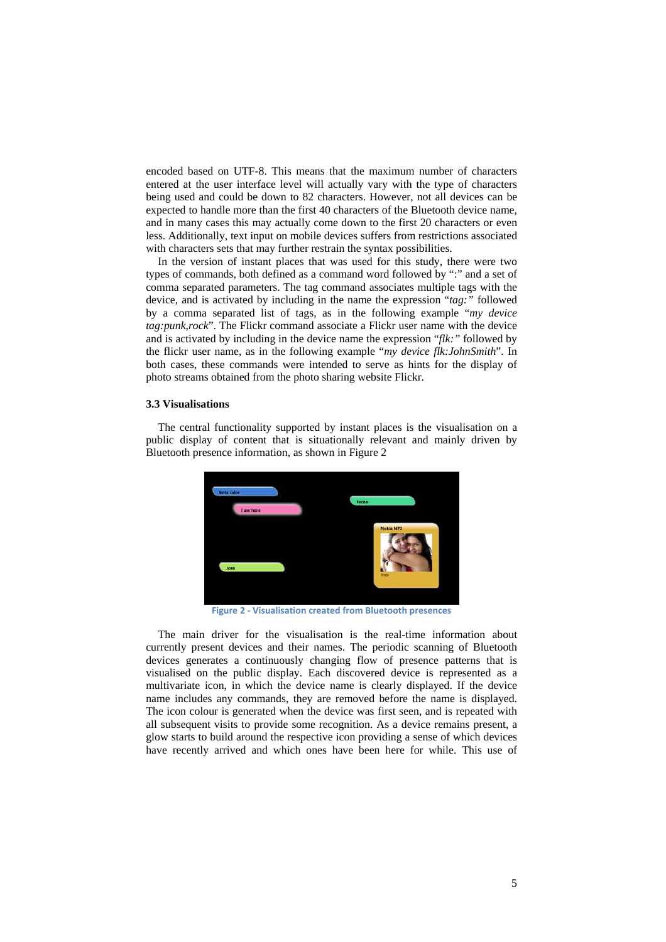encoded based on UTF-8. This means that the maximum number of characters entered at the user interface level will actually vary with the type of characters being used and could be down to 82 characters. However, not all devices can be expected to handle more than the first 40 characters of the Bluetooth device name, and in many cases this may actually come down to the first 20 characters or even less. Additionally, text input on mobile devices suffers from restrictions associated with characters sets that may further restrain the syntax possibilities.

In the version of instant places that was used for this study, there were two types of commands, both defined as a command word followed by ":" and a set of comma separated parameters. The tag command associates multiple tags with the device, and is activated by including in the name the expression "*tag:"* followed by a comma separated list of tags, as in the following example "*my device tag:punk,rock*". The Flickr command associate a Flickr user name with the device and is activated by including in the device name the expression "*flk:"* followed by the flickr user name, as in the following example "*my device flk:JohnSmith*". In both cases, these commands were intended to serve as hints for the display of photo streams obtained from the photo sharing website Flickr.

#### **3.3 Visualisations**

The central functionality supported by instant places is the visualisation on a public display of content that is situationally relevant and mainly driven by Bluetooth presence information, as shown in Figure 2



**Figure 2 ‐ Visualisation created from Bluetooth presences**

The main driver for the visualisation is the real-time information about currently present devices and their names. The periodic scanning of Bluetooth devices generates a continuously changing flow of presence patterns that is visualised on the public display. Each discovered device is represented as a multivariate icon, in which the device name is clearly displayed. If the device name includes any commands, they are removed before the name is displayed. The icon colour is generated when the device was first seen, and is repeated with all subsequent visits to provide some recognition. As a device remains present, a glow starts to build around the respective icon providing a sense of which devices have recently arrived and which ones have been here for while. This use of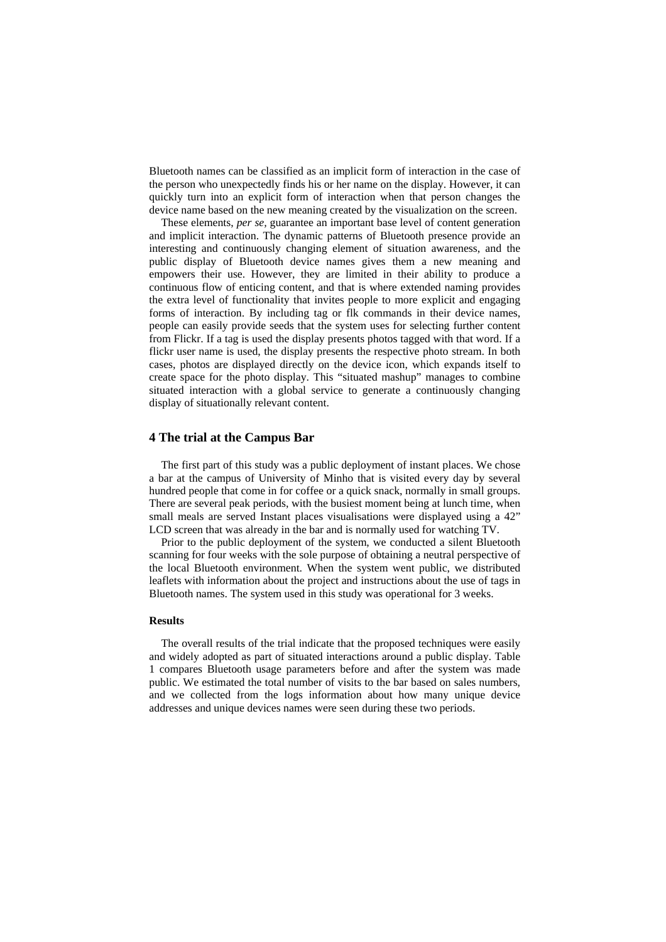Bluetooth names can be classified as an implicit form of interaction in the case of the person who unexpectedly finds his or her name on the display. However, it can quickly turn into an explicit form of interaction when that person changes the device name based on the new meaning created by the visualization on the screen.

These elements, *per se,* guarantee an important base level of content generation and implicit interaction. The dynamic patterns of Bluetooth presence provide an interesting and continuously changing element of situation awareness, and the public display of Bluetooth device names gives them a new meaning and empowers their use. However, they are limited in their ability to produce a continuous flow of enticing content, and that is where extended naming provides the extra level of functionality that invites people to more explicit and engaging forms of interaction. By including tag or flk commands in their device names, people can easily provide seeds that the system uses for selecting further content from Flickr. If a tag is used the display presents photos tagged with that word. If a flickr user name is used, the display presents the respective photo stream. In both cases, photos are displayed directly on the device icon, which expands itself to create space for the photo display. This "situated mashup" manages to combine situated interaction with a global service to generate a continuously changing display of situationally relevant content.

### **4 The trial at the Campus Bar**

The first part of this study was a public deployment of instant places. We chose a bar at the campus of University of Minho that is visited every day by several hundred people that come in for coffee or a quick snack, normally in small groups. There are several peak periods, with the busiest moment being at lunch time, when small meals are served Instant places visualisations were displayed using a 42" LCD screen that was already in the bar and is normally used for watching TV.

Prior to the public deployment of the system, we conducted a silent Bluetooth scanning for four weeks with the sole purpose of obtaining a neutral perspective of the local Bluetooth environment. When the system went public, we distributed leaflets with information about the project and instructions about the use of tags in Bluetooth names. The system used in this study was operational for 3 weeks.

#### **Results**

The overall results of the trial indicate that the proposed techniques were easily and widely adopted as part of situated interactions around a public display. Table 1 compares Bluetooth usage parameters before and after the system was made public. We estimated the total number of visits to the bar based on sales numbers, and we collected from the logs information about how many unique device addresses and unique devices names were seen during these two periods.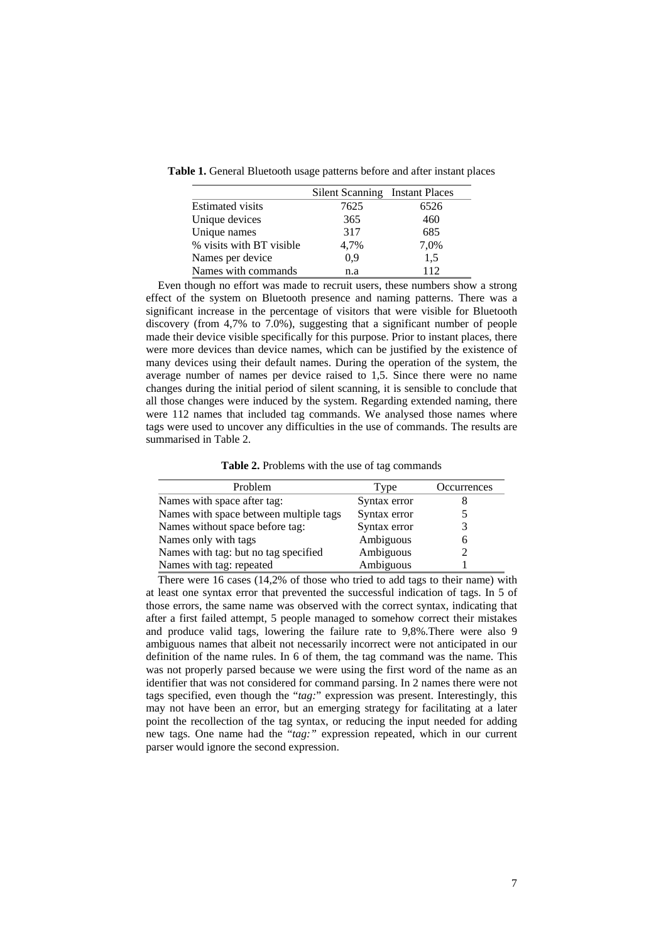**Table 1.** General Bluetooth usage patterns before and after instant places

|                          | Silent Scanning Instant Places |      |
|--------------------------|--------------------------------|------|
| <b>Estimated visits</b>  | 7625                           | 6526 |
| Unique devices           | 365                            | 460  |
| Unique names             | 317                            | 685  |
| % visits with BT visible | 4,7%                           | 7,0% |
| Names per device         | 0.9                            | 1,5  |
| Names with commands      | n.a                            | 112  |

Even though no effort was made to recruit users, these numbers show a strong effect of the system on Bluetooth presence and naming patterns. There was a significant increase in the percentage of visitors that were visible for Bluetooth discovery (from 4,7% to 7.0%), suggesting that a significant number of people made their device visible specifically for this purpose. Prior to instant places, there were more devices than device names, which can be justified by the existence of many devices using their default names. During the operation of the system, the average number of names per device raised to 1,5. Since there were no name changes during the initial period of silent scanning, it is sensible to conclude that all those changes were induced by the system. Regarding extended naming, there were 112 names that included tag commands. We analysed those names where tags were used to uncover any difficulties in the use of commands. The results are summarised in Table 2.

**Table 2.** Problems with the use of tag commands

| Problem                                | Type         | Occurrences |
|----------------------------------------|--------------|-------------|
| Names with space after tag:            | Syntax error |             |
| Names with space between multiple tags | Syntax error |             |
| Names without space before tag:        | Syntax error | ว           |
| Names only with tags                   | Ambiguous    | n           |
| Names with tag: but no tag specified   | Ambiguous    |             |
| Names with tag: repeated               | Ambiguous    |             |

There were 16 cases (14,2% of those who tried to add tags to their name) with at least one syntax error that prevented the successful indication of tags. In 5 of those errors, the same name was observed with the correct syntax, indicating that after a first failed attempt, 5 people managed to somehow correct their mistakes and produce valid tags, lowering the failure rate to 9,8%.There were also 9 ambiguous names that albeit not necessarily incorrect were not anticipated in our definition of the name rules. In 6 of them, the tag command was the name. This was not properly parsed because we were using the first word of the name as an identifier that was not considered for command parsing. In 2 names there were not tags specified, even though the "*tag:*" expression was present. Interestingly, this may not have been an error, but an emerging strategy for facilitating at a later point the recollection of the tag syntax, or reducing the input needed for adding new tags. One name had the "*tag:*" expression repeated, which in our current parser would ignore the second expression.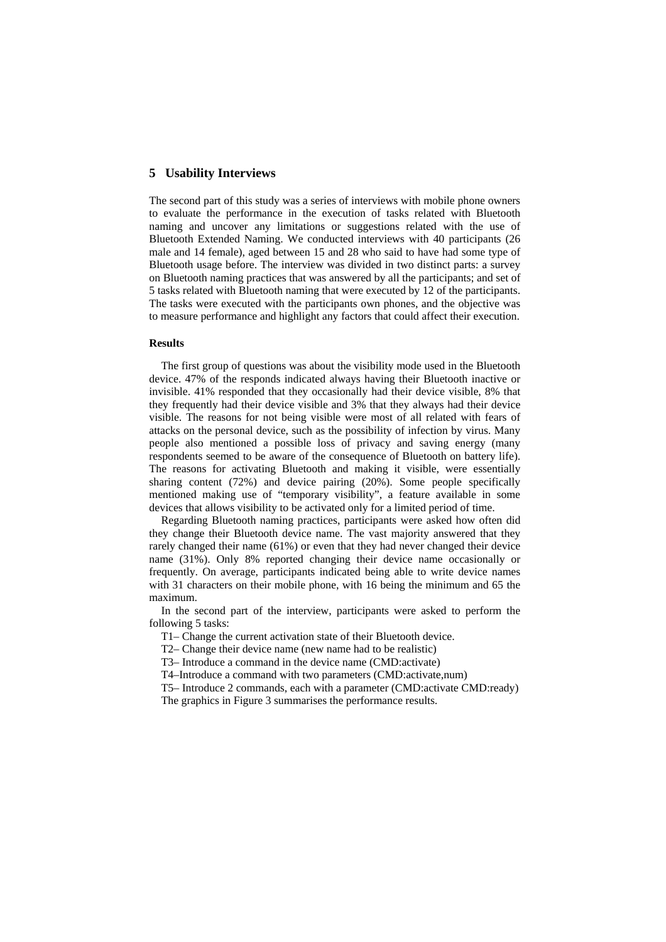# **5 Usability Interviews**

The second part of this study was a series of interviews with mobile phone owners to evaluate the performance in the execution of tasks related with Bluetooth naming and uncover any limitations or suggestions related with the use of Bluetooth Extended Naming. We conducted interviews with 40 participants (26 male and 14 female), aged between 15 and 28 who said to have had some type of Bluetooth usage before. The interview was divided in two distinct parts: a survey on Bluetooth naming practices that was answered by all the participants; and set of 5 tasks related with Bluetooth naming that were executed by 12 of the participants. The tasks were executed with the participants own phones, and the objective was to measure performance and highlight any factors that could affect their execution.

#### **Results**

The first group of questions was about the visibility mode used in the Bluetooth device. 47% of the responds indicated always having their Bluetooth inactive or invisible. 41% responded that they occasionally had their device visible, 8% that they frequently had their device visible and 3% that they always had their device visible. The reasons for not being visible were most of all related with fears of attacks on the personal device, such as the possibility of infection by virus. Many people also mentioned a possible loss of privacy and saving energy (many respondents seemed to be aware of the consequence of Bluetooth on battery life). The reasons for activating Bluetooth and making it visible, were essentially sharing content (72%) and device pairing (20%). Some people specifically mentioned making use of "temporary visibility", a feature available in some devices that allows visibility to be activated only for a limited period of time.

Regarding Bluetooth naming practices, participants were asked how often did they change their Bluetooth device name. The vast majority answered that they rarely changed their name (61%) or even that they had never changed their device name (31%). Only 8% reported changing their device name occasionally or frequently. On average, participants indicated being able to write device names with 31 characters on their mobile phone, with 16 being the minimum and 65 the maximum.

In the second part of the interview, participants were asked to perform the following 5 tasks:

T1– Change the current activation state of their Bluetooth device.

T2– Change their device name (new name had to be realistic)

T3– Introduce a command in the device name (CMD:activate)

T4–Introduce a command with two parameters (CMD:activate,num)

T5– Introduce 2 commands, each with a parameter (CMD:activate CMD:ready)

The graphics in Figure 3 summarises the performance results.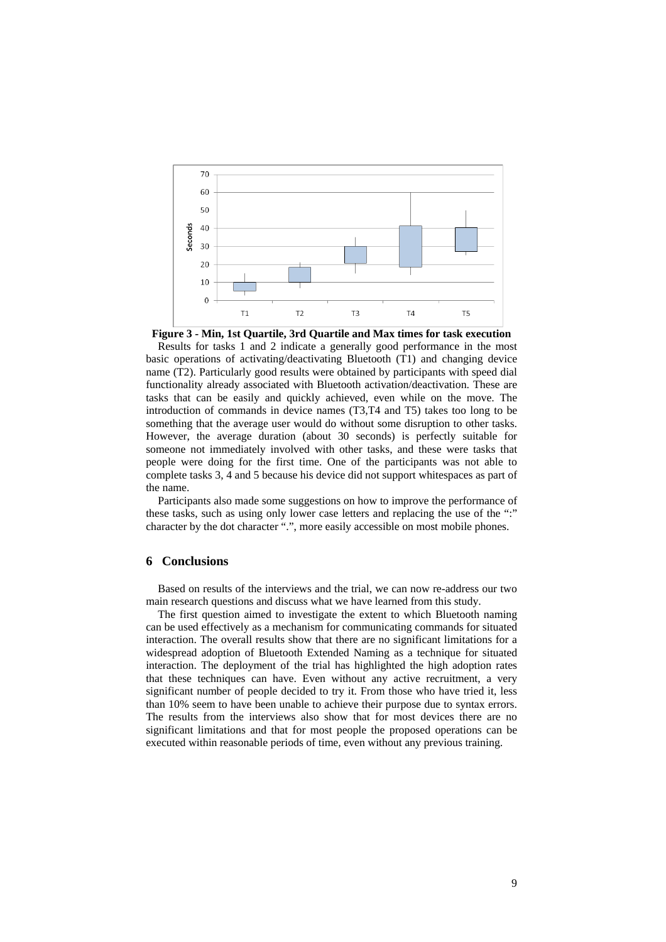

**Figure 3 - Min, 1st Quartile, 3rd Quartile and Max times for task execution** 

Results for tasks 1 and 2 indicate a generally good performance in the most basic operations of activating/deactivating Bluetooth (T1) and changing device name (T2). Particularly good results were obtained by participants with speed dial functionality already associated with Bluetooth activation/deactivation. These are tasks that can be easily and quickly achieved, even while on the move. The introduction of commands in device names (T3,T4 and T5) takes too long to be something that the average user would do without some disruption to other tasks. However, the average duration (about 30 seconds) is perfectly suitable for someone not immediately involved with other tasks, and these were tasks that people were doing for the first time. One of the participants was not able to complete tasks 3, 4 and 5 because his device did not support whitespaces as part of the name.

Participants also made some suggestions on how to improve the performance of these tasks, such as using only lower case letters and replacing the use of the ":" character by the dot character ".", more easily accessible on most mobile phones.

### **6 Conclusions**

Based on results of the interviews and the trial, we can now re-address our two main research questions and discuss what we have learned from this study.

The first question aimed to investigate the extent to which Bluetooth naming can be used effectively as a mechanism for communicating commands for situated interaction. The overall results show that there are no significant limitations for a widespread adoption of Bluetooth Extended Naming as a technique for situated interaction. The deployment of the trial has highlighted the high adoption rates that these techniques can have. Even without any active recruitment, a very significant number of people decided to try it. From those who have tried it, less than 10% seem to have been unable to achieve their purpose due to syntax errors. The results from the interviews also show that for most devices there are no significant limitations and that for most people the proposed operations can be executed within reasonable periods of time, even without any previous training.